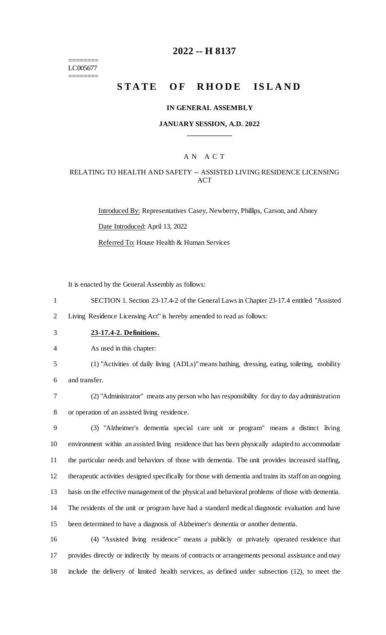======== LC005677 ========

## **2022 -- H 8137**

# STATE OF RHODE ISLAND

#### **IN GENERAL ASSEMBLY**

### **JANUARY SESSION, A.D. 2022 \_\_\_\_\_\_\_\_\_\_\_\_**

## A N A C T

## RELATING TO HEALTH AND SAFETY -- ASSISTED LIVING RESIDENCE LICENSING **ACT**

Introduced By: Representatives Casey, Newberry, Phillips, Carson, and Abney Date Introduced: April 13, 2022 Referred To: House Health & Human Services

It is enacted by the General Assembly as follows:

1 SECTION 1. Section 23-17.4-2 of the General Laws in Chapter 23-17.4 entitled "Assisted

2 Living Residence Licensing Act" is hereby amended to read as follows:

3 **23-17.4-2. Definitions.**

4 As used in this chapter:

5 (1) "Activities of daily living (ADLs)" means bathing, dressing, eating, toileting, mobility 6 and transfer.

7 (2) "Administrator" means any person who has responsibility for day to day administration 8 or operation of an assisted living residence.

 (3) "Alzheimer's dementia special care unit or program" means a distinct living environment within an assisted living residence that has been physically adapted to accommodate the particular needs and behaviors of those with dementia. The unit provides increased staffing, therapeutic activities designed specifically for those with dementia and trains its staff on an ongoing basis on the effective management of the physical and behavioral problems of those with dementia. The residents of the unit or program have had a standard medical diagnostic evaluation and have been determined to have a diagnosis of Alzheimer's dementia or another dementia.

16 (4) "Assisted living residence" means a publicly or privately operated residence that 17 provides directly or indirectly by means of contracts or arrangements personal assistance and may 18 include the delivery of limited health services, as defined under subsection (12), to meet the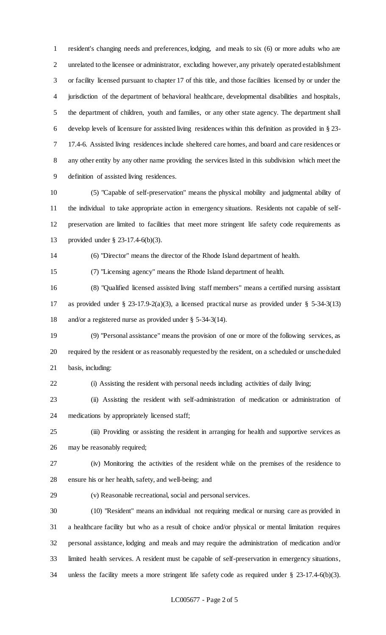resident's changing needs and preferences, lodging, and meals to six (6) or more adults who are unrelated to the licensee or administrator, excluding however, any privately operated establishment or facility licensed pursuant to chapter 17 of this title, and those facilities licensed by or under the jurisdiction of the department of behavioral healthcare, developmental disabilities and hospitals, the department of children, youth and families, or any other state agency. The department shall develop levels of licensure for assisted living residences within this definition as provided in § 23- 17.4-6. Assisted living residences include sheltered care homes, and board and care residences or any other entity by any other name providing the services listed in this subdivision which meet the definition of assisted living residences.

 (5) "Capable of self-preservation" means the physical mobility and judgmental ability of the individual to take appropriate action in emergency situations. Residents not capable of self- preservation are limited to facilities that meet more stringent life safety code requirements as provided under § 23-17.4-6(b)(3).

(6) "Director" means the director of the Rhode Island department of health.

(7) "Licensing agency" means the Rhode Island department of health.

 (8) "Qualified licensed assisted living staff members" means a certified nursing assistant as provided under § 23-17.9-2(a)(3), a licensed practical nurse as provided under § 5-34-3(13) and/or a registered nurse as provided under § 5-34-3(14).

 (9) "Personal assistance" means the provision of one or more of the following services, as required by the resident or as reasonably requested by the resident, on a scheduled or unscheduled basis, including:

(i) Assisting the resident with personal needs including activities of daily living;

 (ii) Assisting the resident with self-administration of medication or administration of medications by appropriately licensed staff;

 (iii) Providing or assisting the resident in arranging for health and supportive services as may be reasonably required;

 (iv) Monitoring the activities of the resident while on the premises of the residence to ensure his or her health, safety, and well-being; and

(v) Reasonable recreational, social and personal services.

 (10) "Resident" means an individual not requiring medical or nursing care as provided in a healthcare facility but who as a result of choice and/or physical or mental limitation requires personal assistance, lodging and meals and may require the administration of medication and/or limited health services. A resident must be capable of self-preservation in emergency situations, unless the facility meets a more stringent life safety code as required under § 23-17.4-6(b)(3).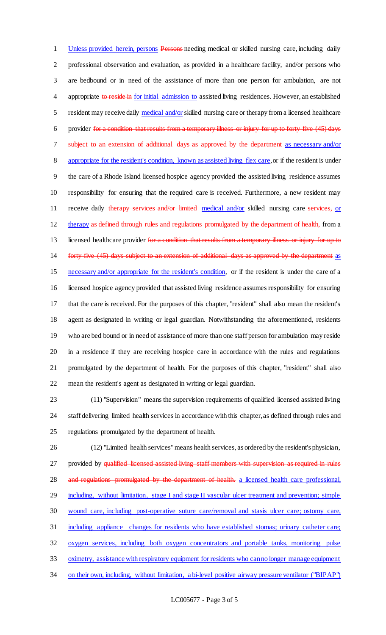Unless provided herein, persons Persons needing medical or skilled nursing care, including daily professional observation and evaluation, as provided in a healthcare facility, and/or persons who are bedbound or in need of the assistance of more than one person for ambulation, are not 4 appropriate to reside in for initial admission to assisted living residences. However, an established resident may receive daily medical and/or skilled nursing care or therapy from a licensed healthcare provider for a condition that results from a temporary illness or injury for up to forty-five (45) days 7 subject to an extension of additional days as approved by the department as necessary and/or appropriate for the resident's condition, known as assisted living flex care, or if the resident is under the care of a Rhode Island licensed hospice agency provided the assisted living residence assumes responsibility for ensuring that the required care is received. Furthermore, a new resident may 11 receive daily therapy services and/or limited medical and/or skilled nursing care services, or 12 therapy as defined through rules and regulations promulgated by the department of health, from a 13 licensed healthcare provider for a condition that results from a temporary illness or injury for up to 14 forty-five (45) days subject to an extension of additional days as approved by the department as necessary and/or appropriate for the resident's condition, or if the resident is under the care of a licensed hospice agency provided that assisted living residence assumes responsibility for ensuring that the care is received. For the purposes of this chapter, "resident" shall also mean the resident's agent as designated in writing or legal guardian. Notwithstanding the aforementioned, residents who are bed bound or in need of assistance of more than one staff person for ambulation may reside in a residence if they are receiving hospice care in accordance with the rules and regulations promulgated by the department of health. For the purposes of this chapter, "resident" shall also mean the resident's agent as designated in writing or legal guardian.

 (11) "Supervision" means the supervision requirements of qualified licensed assisted living staff delivering limited health services in accordance with this chapter, as defined through rules and regulations promulgated by the department of health.

 (12) "Limited health services" means health services, as ordered by the resident's physician, 27 provided by qualified licensed assisted living staff members with supervision as required in rules 28 and regulations promulgated by the department of health. a licensed health care professional, 29 including, without limitation, stage I and stage II vascular ulcer treatment and prevention; simple wound care, including post-operative suture care/removal and stasis ulcer care; ostomy care, including appliance changes for residents who have established stomas; urinary catheter care; oxygen services, including both oxygen concentrators and portable tanks, monitoring pulse oximetry, assistance with respiratory equipment for residents who can no longer manage equipment 34 on their own, including, without limitation, a bi-level positive airway pressure ventilator ("BIPAP")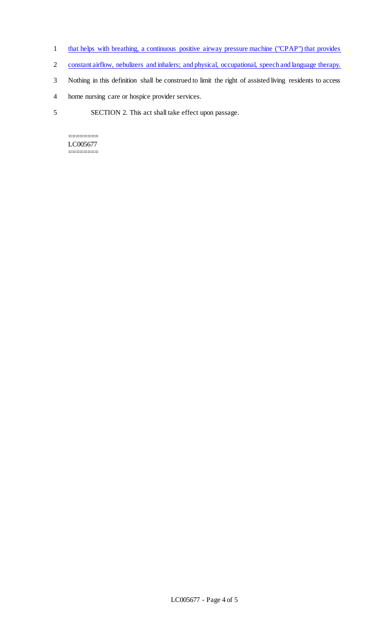- 1 that helps with breathing, a continuous positive airway pressure machine ("CPAP") that provides
- 2 constant airflow, nebulizers and inhalers; and physical, occupational, speech and language therapy.
- 3 Nothing in this definition shall be construed to limit the right of assisted living residents to access
- 4 home nursing care or hospice provider services.
- 5 SECTION 2. This act shall take effect upon passage.

======== LC005677 ========